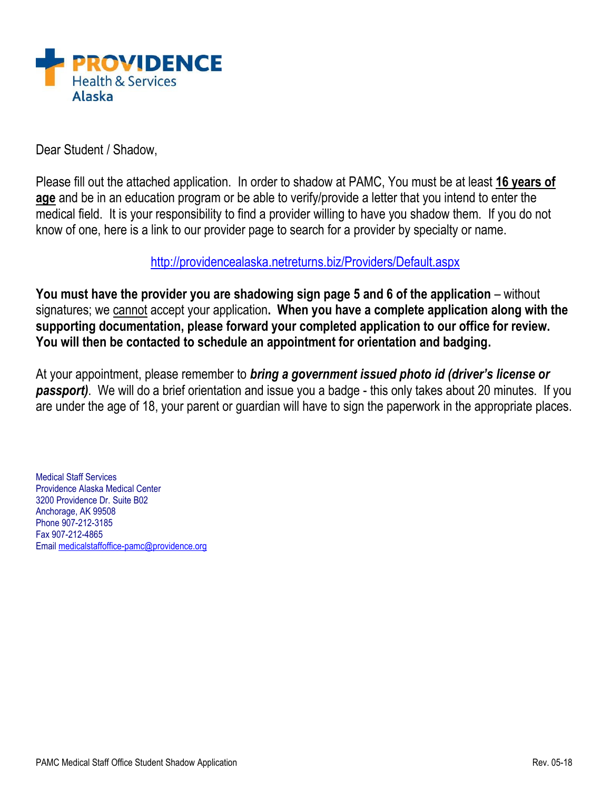

Dear Student / Shadow,

Please fill out the attached application. In order to shadow at PAMC, You must be at least **16 years of age** and be in an education program or be able to verify/provide a letter that you intend to enter the medical field. It is your responsibility to find a provider willing to have you shadow them. If you do not know of one, here is a link to our provider page to search for a provider by specialty or name.

<http://providencealaska.netreturns.biz/Providers/Default.aspx>

**You must have the provider you are shadowing sign page 5 and 6 of the application** – without signatures; we cannot accept your application**. When you have a complete application along with the supporting documentation, please forward your completed application to our office for review. You will then be contacted to schedule an appointment for orientation and badging.** 

At your appointment, please remember to *bring a government issued photo id (driver's license or passport)*. We will do a brief orientation and issue you a badge - this only takes about 20 minutes. If you are under the age of 18, your parent or guardian will have to sign the paperwork in the appropriate places.

Medical Staff Services Providence Alaska Medical Center 3200 Providence Dr. Suite B02 Anchorage, AK 99508 Phone 907-212-3185 Fax 907-212-4865 Email [medicalstaffoffice-pamc@providence.org](mailto:medicalstaffoffice-pamc@providence.org)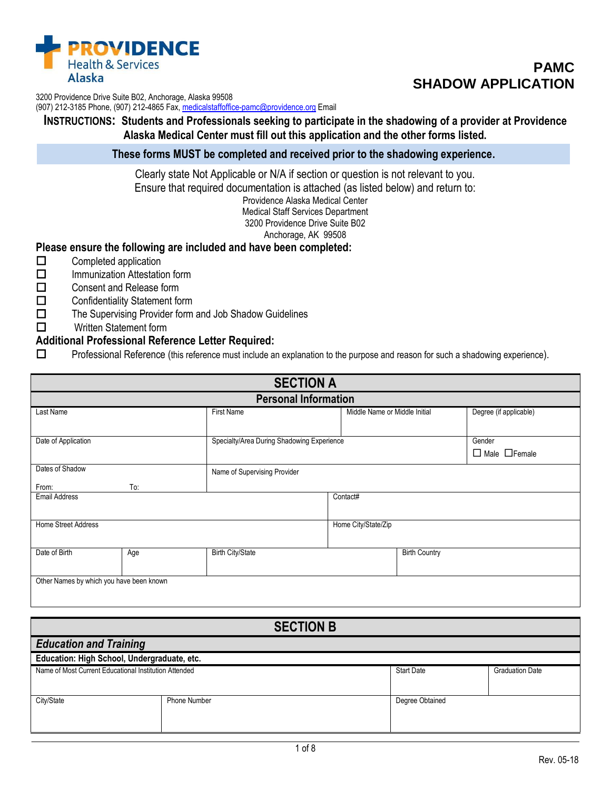

3200 Providence Drive Suite B02, Anchorage, Alaska 99508

(907) 212-3185 Phone, (907) 212-4865 Fax, [medicalstaffoffice-pamc@providence.org](mailto:medicalstaffoffice-pamc@providence.org) Email

**INSTRUCTIONS: Students and Professionals seeking to participate in the shadowing of a provider at Providence Alaska Medical Center must fill out this application and the other forms listed.**

**These forms MUST be completed and received prior to the shadowing experience.**

Clearly state Not Applicable or N/A if section or question is not relevant to you. Ensure that required documentation is attached (as listed below) and return to: Providence Alaska Medical Center Medical Staff Services Department 3200 Providence Drive Suite B02 Anchorage, AK 99508

## **Please ensure the following are included and have been completed:**

- $\Box$  Completed application
- $\Box$  Immunization Attestation form
- □ Consent and Release form
- □ Confidentiality Statement form
- $\Box$  The Supervising Provider form and Job Shadow Guidelines
- **D** Written Statement form

## **Additional Professional Reference Letter Required:**

Professional Reference (this reference must include an explanation to the purpose and reason for such a shadowing experience).

| <b>SECTION A</b>                                                            |     |                         |                              |                               |                           |
|-----------------------------------------------------------------------------|-----|-------------------------|------------------------------|-------------------------------|---------------------------|
|                                                                             |     |                         | <b>Personal Information</b>  |                               |                           |
| Last Name                                                                   |     | <b>First Name</b>       |                              | Middle Name or Middle Initial | Degree (if applicable)    |
|                                                                             |     |                         |                              |                               |                           |
| Date of Application<br>Specialty/Area During Shadowing Experience<br>Gender |     |                         |                              |                               |                           |
|                                                                             |     |                         |                              |                               | $\Box$ Male $\Box$ Female |
| Dates of Shadow                                                             |     |                         | Name of Supervising Provider |                               |                           |
| From:                                                                       | To: |                         |                              |                               |                           |
| <b>Email Address</b><br>Contact#                                            |     |                         |                              |                               |                           |
|                                                                             |     |                         |                              |                               |                           |
| <b>Home Street Address</b>                                                  |     |                         | Home City/State/Zip          |                               |                           |
|                                                                             |     |                         |                              |                               |                           |
| Date of Birth                                                               | Age | <b>Birth City/State</b> |                              | <b>Birth Country</b>          |                           |
|                                                                             |     |                         |                              |                               |                           |
| Other Names by which you have been known                                    |     |                         |                              |                               |                           |
|                                                                             |     |                         |                              |                               |                           |

| <b>SECTION B</b>                                                                                     |              |                 |  |  |
|------------------------------------------------------------------------------------------------------|--------------|-----------------|--|--|
| <b>Education and Training</b>                                                                        |              |                 |  |  |
| Education: High School, Undergraduate, etc.                                                          |              |                 |  |  |
| Name of Most Current Educational Institution Attended<br><b>Start Date</b><br><b>Graduation Date</b> |              |                 |  |  |
|                                                                                                      |              |                 |  |  |
| City/State                                                                                           | Phone Number | Degree Obtained |  |  |
|                                                                                                      |              |                 |  |  |
|                                                                                                      |              |                 |  |  |

# **PAMC SHADOW APPLICATION**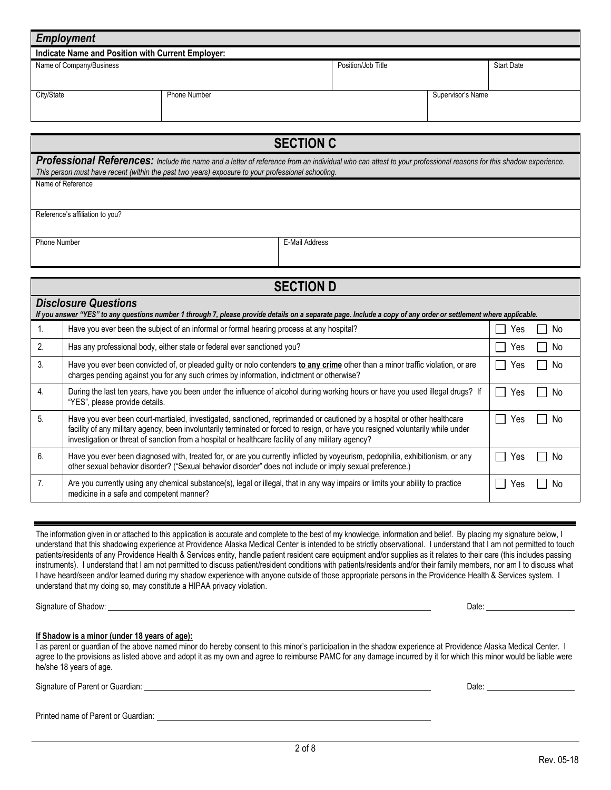| <b>Employment</b>                                                   |                     |  |                   |
|---------------------------------------------------------------------|---------------------|--|-------------------|
| Indicate Name and Position with Current Employer:                   |                     |  |                   |
| Position/Job Title<br>Name of Company/Business<br><b>Start Date</b> |                     |  |                   |
|                                                                     |                     |  |                   |
| City/State                                                          | <b>Phone Number</b> |  | Supervisor's Name |
|                                                                     |                     |  |                   |
|                                                                     |                     |  |                   |
|                                                                     |                     |  |                   |

**SECTION C** Professional References: *Include the name and a letter of reference from an individual who can attest to your professional reasons for this shadow experience. This person must have recent (within the past two years) exposure to your professional schooling.* Name of Reference

Reference's affiliation to you?

Phone Number **E-Mail Address** 

|                  | <b>SECTION D</b>                                                                                                                                                                                                                                                                                                                                                   |     |     |  |  |
|------------------|--------------------------------------------------------------------------------------------------------------------------------------------------------------------------------------------------------------------------------------------------------------------------------------------------------------------------------------------------------------------|-----|-----|--|--|
|                  | <b>Disclosure Questions</b><br>If you answer "YES" to any questions number 1 through 7, please provide details on a separate page. Include a copy of any order or settlement where applicable.                                                                                                                                                                     |     |     |  |  |
| $\mathbf{1}$ .   | Have you ever been the subject of an informal or formal hearing process at any hospital?                                                                                                                                                                                                                                                                           | ′es | No. |  |  |
| 2.               | Has any professional body, either state or federal ever sanctioned you?                                                                                                                                                                                                                                                                                            | res | No. |  |  |
| 3.               | Have you ever been convicted of, or pleaded guilty or nolo contenders to any crime other than a minor traffic violation, or are<br>charges pending against you for any such crimes by information, indictment or otherwise?                                                                                                                                        | Yes | No. |  |  |
| $\overline{4}$ . | During the last ten years, have you been under the influence of alcohol during working hours or have you used illegal drugs? If<br>"YES", please provide details.                                                                                                                                                                                                  | Yes | No. |  |  |
| 5.               | Have you ever been court-martialed, investigated, sanctioned, reprimanded or cautioned by a hospital or other healthcare<br>facility of any military agency, been involuntarily terminated or forced to resign, or have you resigned voluntarily while under<br>investigation or threat of sanction from a hospital or healthcare facility of any military agency? | Yes | No  |  |  |
| 6.               | Have you ever been diagnosed with, treated for, or are you currently inflicted by voyeurism, pedophilia, exhibitionism, or any<br>other sexual behavior disorder? ("Sexual behavior disorder" does not include or imply sexual preference.)                                                                                                                        | res | N٥  |  |  |
| 7.               | Are you currently using any chemical substance(s), legal or illegal, that in any way impairs or limits your ability to practice<br>medicine in a safe and competent manner?                                                                                                                                                                                        | Yes | No. |  |  |

The information given in or attached to this application is accurate and complete to the best of my knowledge, information and belief. By placing my signature below, I understand that this shadowing experience at Providence Alaska Medical Center is intended to be strictly observational. I understand that I am not permitted to touch patients/residents of any Providence Health & Services entity, handle patient resident care equipment and/or supplies as it relates to their care (this includes passing instruments). I understand that I am not permitted to discuss patient/resident conditions with patients/residents and/or their family members, nor am I to discuss what I have heard/seen and/or learned during my shadow experience with anyone outside of those appropriate persons in the Providence Health & Services system. I understand that my doing so, may constitute a HIPAA privacy violation.

Signature of Shadow: Notice and Shadow: New York 1999 (New York 1999) (New York 1999) (New York 1999) (New York 1999) (New York 1999) (New York 1999) (New York 1999) (New York 1999) (New York 1999) (New York 1999) (New Yor

#### **If Shadow is a minor (under 18 years of age):**

I as parent or guardian of the above named minor do hereby consent to this minor's participation in the shadow experience at Providence Alaska Medical Center. I agree to the provisions as listed above and adopt it as my own and agree to reimburse PAMC for any damage incurred by it for which this minor would be liable were he/she 18 years of age.

Signature of Parent or Guardian: <u>Date: Date: Date: Date: Date: Date: Date: Date: Date: Date: Date: Date: Date: Date: Date: Date: Date: Date: Date: Date: Date: Date: Date: Date: Date: Date: Date: Date: Date: Date: Date: Da</u>

Printed name of Parent or Guardian: University of Parent or Guardian: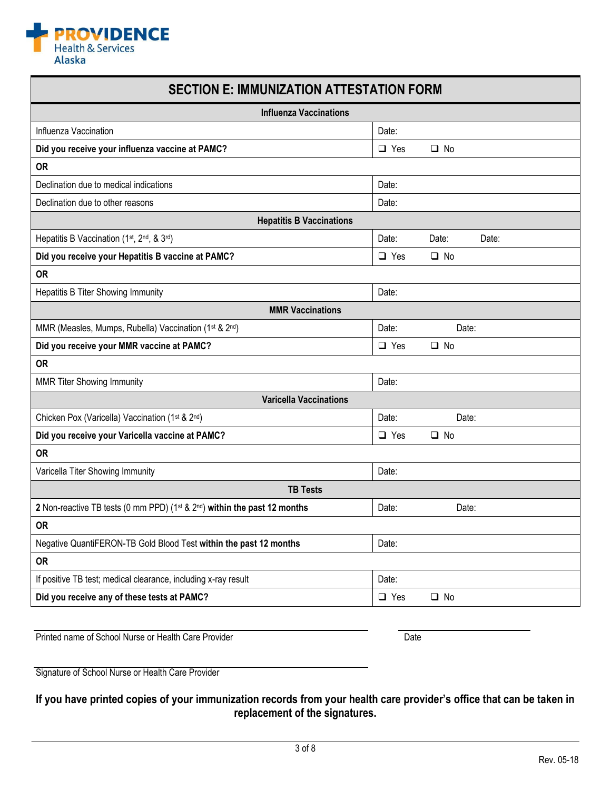

# **SECTION E: IMMUNIZATION ATTESTATION FORM**

| <b>Influenza Vaccinations</b>                                            |            |                |  |
|--------------------------------------------------------------------------|------------|----------------|--|
| Influenza Vaccination                                                    | Date:      |                |  |
| Did you receive your influenza vaccine at PAMC?                          | $\Box$ Yes | $\square$ No   |  |
| <b>OR</b>                                                                |            |                |  |
| Declination due to medical indications                                   | Date:      |                |  |
| Declination due to other reasons                                         | Date:      |                |  |
| <b>Hepatitis B Vaccinations</b>                                          |            |                |  |
| Hepatitis B Vaccination (1st, 2nd, & 3rd)                                | Date:      | Date:<br>Date: |  |
| Did you receive your Hepatitis B vaccine at PAMC?                        | $\Box$ Yes | $\square$ No   |  |
| <b>OR</b>                                                                |            |                |  |
| Hepatitis B Titer Showing Immunity                                       | Date:      |                |  |
| <b>MMR Vaccinations</b>                                                  |            |                |  |
| MMR (Measles, Mumps, Rubella) Vaccination (1st & 2nd)                    | Date:      | Date:          |  |
| Did you receive your MMR vaccine at PAMC?                                | $\Box$ Yes | $\Box$ No      |  |
| <b>OR</b>                                                                |            |                |  |
| <b>MMR Titer Showing Immunity</b>                                        | Date:      |                |  |
| <b>Varicella Vaccinations</b>                                            |            |                |  |
| Chicken Pox (Varicella) Vaccination (1st & 2nd)                          | Date:      | Date:          |  |
| Did you receive your Varicella vaccine at PAMC?                          | $\Box$ Yes | $\square$ No   |  |
| <b>OR</b>                                                                |            |                |  |
| Varicella Titer Showing Immunity                                         | Date:      |                |  |
| <b>TB Tests</b>                                                          |            |                |  |
| 2 Non-reactive TB tests (0 mm PPD) (1st & 2nd) within the past 12 months | Date:      | Date:          |  |
| <b>OR</b>                                                                |            |                |  |
| Negative QuantiFERON-TB Gold Blood Test within the past 12 months        | Date:      |                |  |
| <b>OR</b>                                                                |            |                |  |
| If positive TB test; medical clearance, including x-ray result           | Date:      |                |  |
| Did you receive any of these tests at PAMC?                              | $\Box$ Yes | $\Box$ No      |  |

Printed name of School Nurse or Health Care Provider Nurse of School Nurse or Health Care Provider

Signature of School Nurse or Health Care Provider

## **If you have printed copies of your immunization records from your health care provider's office that can be taken in replacement of the signatures.**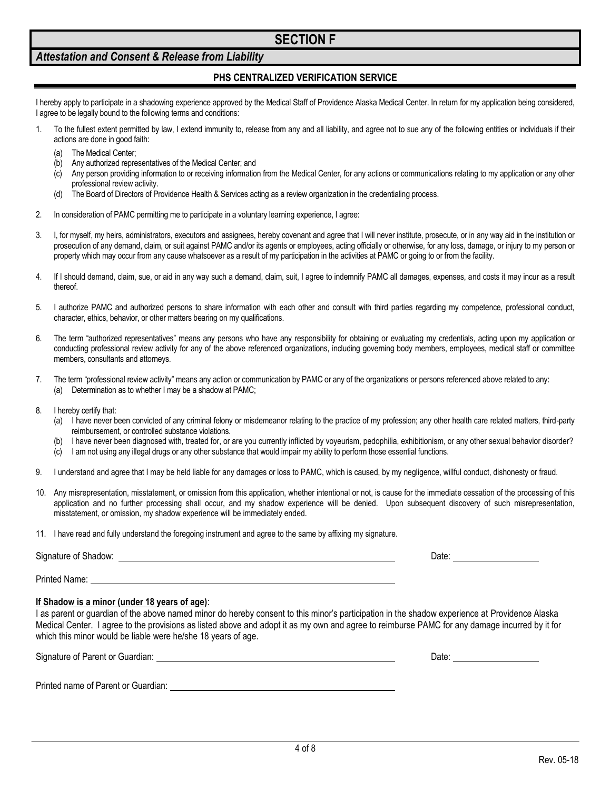## **SECTION F**

## *Attestation and Consent & Release from Liability*

## **PHS CENTRALIZED VERIFICATION SERVICE**

I hereby apply to participate in a shadowing experience approved by the Medical Staff of Providence Alaska Medical Center. In return for my application being considered, I agree to be legally bound to the following terms and conditions:

- 1. To the fullest extent permitted by law, I extend immunity to, release from any and all liability, and agree not to sue any of the following entities or individuals if their actions are done in good faith:
	- (a) The Medical Center;
	- (b) Any authorized representatives of the Medical Center; and
	- (c) Any person providing information to or receiving information from the Medical Center, for any actions or communications relating to my application or any other professional review activity.
	- (d) The Board of Directors of Providence Health & Services acting as a review organization in the credentialing process.
- 2. In consideration of PAMC permitting me to participate in a voluntary learning experience, I agree:
- 3. I, for myself, my heirs, administrators, executors and assignees, hereby covenant and agree that I will never institute, prosecute, or in any way aid in the institution or prosecution of any demand, claim, or suit against PAMC and/or its agents or employees, acting officially or otherwise, for any loss, damage, or injury to my person or property which may occur from any cause whatsoever as a result of my participation in the activities at PAMC or going to or from the facility.
- 4. If I should demand, claim, sue, or aid in any way such a demand, claim, suit, I agree to indemnify PAMC all damages, expenses, and costs it may incur as a result thereof.
- 5. I authorize PAMC and authorized persons to share information with each other and consult with third parties regarding my competence, professional conduct, character, ethics, behavior, or other matters bearing on my qualifications.
- 6. The term "authorized representatives" means any persons who have any responsibility for obtaining or evaluating my credentials, acting upon my application or conducting professional review activity for any of the above referenced organizations, including governing body members, employees, medical staff or committee members, consultants and attorneys.
- 7. The term "professional review activity" means any action or communication by PAMC or any of the organizations or persons referenced above related to any: (a) Determination as to whether I may be a shadow at PAMC;
- 8. I hereby certify that:
	- (a) I have never been convicted of any criminal felony or misdemeanor relating to the practice of my profession; any other health care related matters, third-party reimbursement, or controlled substance violations.
	- (b) I have never been diagnosed with, treated for, or are you currently inflicted by voyeurism, pedophilia, exhibitionism, or any other sexual behavior disorder?
	- (c) I am not using any illegal drugs or any other substance that would impair my ability to perform those essential functions.
- 9. I understand and agree that I may be held liable for any damages or loss to PAMC, which is caused, by my negligence, willful conduct, dishonesty or fraud.
- 10. Any misrepresentation, misstatement, or omission from this application, whether intentional or not, is cause for the immediate cessation of the processing of this application and no further processing shall occur, and my shadow experience will be denied. Upon subsequent discovery of such misrepresentation, misstatement, or omission, my shadow experience will be immediately ended.
- 11. I have read and fully understand the foregoing instrument and agree to the same by affixing my signature.

| Signature of Shadow: | Date: |
|----------------------|-------|
| Printed Name:        |       |

#### **If Shadow is a minor (under 18 years of age)**:

I as parent or guardian of the above named minor do hereby consent to this minor's participation in the shadow experience at Providence Alaska Medical Center. I agree to the provisions as listed above and adopt it as my own and agree to reimburse PAMC for any damage incurred by it for which this minor would be liable were he/she 18 years of age.

Signature of Parent or Guardian: Date: Date: Date: Date: Date: Date: Date: Date: Date: Date: Date: Date: Date: Date: Date: Date: Date: Date: Date: Date: Date: Date: Date: Date: Date: Date: Date: Date: Date: Date: Date: Dat

Printed name of Parent or Guardian: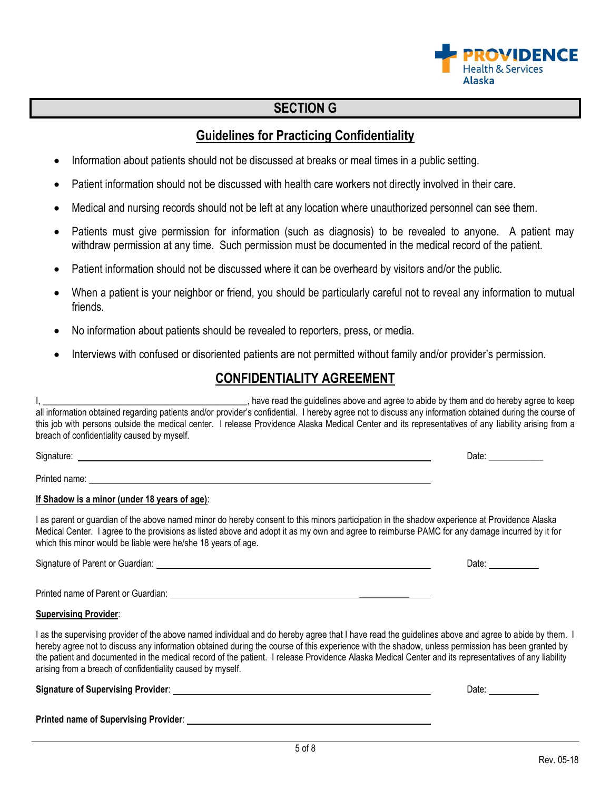# **SECTION G**

# **Guidelines for Practicing Confidentiality**

- Information about patients should not be discussed at breaks or meal times in a public setting.
- Patient information should not be discussed with health care workers not directly involved in their care.
- Medical and nursing records should not be left at any location where unauthorized personnel can see them.
- Patients must give permission for information (such as diagnosis) to be revealed to anyone. A patient may withdraw permission at any time. Such permission must be documented in the medical record of the patient.
- Patient information should not be discussed where it can be overheard by visitors and/or the public.
- When a patient is your neighbor or friend, you should be particularly careful not to reveal any information to mutual friends.
- No information about patients should be revealed to reporters, press, or media.
- Interviews with confused or disoriented patients are not permitted without family and/or provider's permission.

# **CONFIDENTIALITY AGREEMENT**

I, \_\_\_\_\_\_\_\_\_\_\_\_\_\_\_\_\_\_\_\_\_\_\_\_\_\_\_\_\_\_\_\_\_\_\_\_\_\_\_\_\_\_\_\_\_, have read the guidelines above and agree to abide by them and do hereby agree to keep all information obtained regarding patients and/or provider's confidential. I hereby agree not to discuss any information obtained during the course of this job with persons outside the medical center. I release Providence Alaska Medical Center and its representatives of any liability arising from a breach of confidentiality caused by myself.

Printed name:

#### **If Shadow is a minor (under 18 years of age)**:

I as parent or guardian of the above named minor do hereby consent to this minors participation in the shadow experience at Providence Alaska Medical Center. I agree to the provisions as listed above and adopt it as my own and agree to reimburse PAMC for any damage incurred by it for which this minor would be liable were he/she 18 years of age.

Signature of Parent or Guardian:  $\Box$  Date:  $\Box$  Date:  $\Box$  Date:  $\Box$ 

Printed name of Parent or Guardian: \_\_\_\_\_\_\_\_\_\_\_

#### **Supervising Provider**:

I as the supervising provider of the above named individual and do hereby agree that I have read the guidelines above and agree to abide by them. I hereby agree not to discuss any information obtained during the course of this experience with the shadow, unless permission has been granted by the patient and documented in the medical record of the patient. I release Providence Alaska Medical Center and its representatives of any liability arising from a breach of confidentiality caused by myself.

**Signature of Supervising Provider**: Date:

**Printed name of Supervising Provider**:

Signature: 2008. In the set of the set of the set of the set of the set of the Signature: 2018. In the set of the set of the set of the set of the set of the set of the set of the set of the set of the set of the set of th

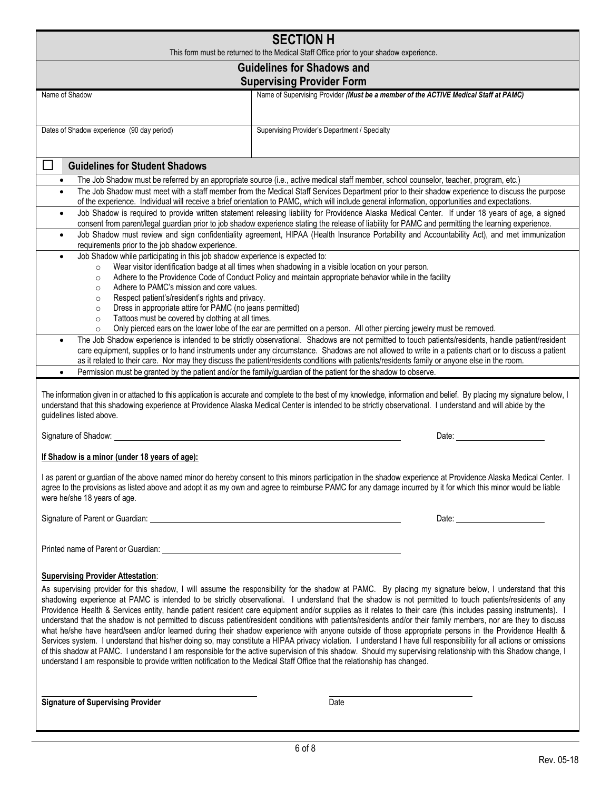| <b>SECTION H</b><br>This form must be returned to the Medical Staff Office prior to your shadow experience.                                                                                                                                                                                                                                                      |                                                                                                                                                                                                                                                                                                                                                                                                                                                                                                                                                                                                                                                                                                                                                                                                                                                                                                                                                                                                                                                                                                                                                           |  |  |
|------------------------------------------------------------------------------------------------------------------------------------------------------------------------------------------------------------------------------------------------------------------------------------------------------------------------------------------------------------------|-----------------------------------------------------------------------------------------------------------------------------------------------------------------------------------------------------------------------------------------------------------------------------------------------------------------------------------------------------------------------------------------------------------------------------------------------------------------------------------------------------------------------------------------------------------------------------------------------------------------------------------------------------------------------------------------------------------------------------------------------------------------------------------------------------------------------------------------------------------------------------------------------------------------------------------------------------------------------------------------------------------------------------------------------------------------------------------------------------------------------------------------------------------|--|--|
|                                                                                                                                                                                                                                                                                                                                                                  | <b>Guidelines for Shadows and</b>                                                                                                                                                                                                                                                                                                                                                                                                                                                                                                                                                                                                                                                                                                                                                                                                                                                                                                                                                                                                                                                                                                                         |  |  |
|                                                                                                                                                                                                                                                                                                                                                                  | <b>Supervising Provider Form</b>                                                                                                                                                                                                                                                                                                                                                                                                                                                                                                                                                                                                                                                                                                                                                                                                                                                                                                                                                                                                                                                                                                                          |  |  |
| Name of Shadow                                                                                                                                                                                                                                                                                                                                                   | Name of Supervising Provider (Must be a member of the ACTIVE Medical Staff at PAMC)                                                                                                                                                                                                                                                                                                                                                                                                                                                                                                                                                                                                                                                                                                                                                                                                                                                                                                                                                                                                                                                                       |  |  |
|                                                                                                                                                                                                                                                                                                                                                                  |                                                                                                                                                                                                                                                                                                                                                                                                                                                                                                                                                                                                                                                                                                                                                                                                                                                                                                                                                                                                                                                                                                                                                           |  |  |
| Dates of Shadow experience (90 day period)                                                                                                                                                                                                                                                                                                                       | Supervising Provider's Department / Specialty                                                                                                                                                                                                                                                                                                                                                                                                                                                                                                                                                                                                                                                                                                                                                                                                                                                                                                                                                                                                                                                                                                             |  |  |
| <b>Guidelines for Student Shadows</b>                                                                                                                                                                                                                                                                                                                            |                                                                                                                                                                                                                                                                                                                                                                                                                                                                                                                                                                                                                                                                                                                                                                                                                                                                                                                                                                                                                                                                                                                                                           |  |  |
| $\bullet$                                                                                                                                                                                                                                                                                                                                                        | The Job Shadow must be referred by an appropriate source (i.e., active medical staff member, school counselor, teacher, program, etc.)                                                                                                                                                                                                                                                                                                                                                                                                                                                                                                                                                                                                                                                                                                                                                                                                                                                                                                                                                                                                                    |  |  |
| $\bullet$                                                                                                                                                                                                                                                                                                                                                        | The Job Shadow must meet with a staff member from the Medical Staff Services Department prior to their shadow experience to discuss the purpose<br>of the experience. Individual will receive a brief orientation to PAMC, which will include general information, opportunities and expectations.                                                                                                                                                                                                                                                                                                                                                                                                                                                                                                                                                                                                                                                                                                                                                                                                                                                        |  |  |
| $\bullet$                                                                                                                                                                                                                                                                                                                                                        | Job Shadow is required to provide written statement releasing liability for Providence Alaska Medical Center. If under 18 years of age, a signed<br>consent from parent/legal guardian prior to job shadow experience stating the release of liability for PAMC and permitting the learning experience.                                                                                                                                                                                                                                                                                                                                                                                                                                                                                                                                                                                                                                                                                                                                                                                                                                                   |  |  |
| $\bullet$<br>requirements prior to the job shadow experience.                                                                                                                                                                                                                                                                                                    | Job Shadow must review and sign confidentiality agreement, HIPAA (Health Insurance Portability and Accountability Act), and met immunization                                                                                                                                                                                                                                                                                                                                                                                                                                                                                                                                                                                                                                                                                                                                                                                                                                                                                                                                                                                                              |  |  |
| Job Shadow while participating in this job shadow experience is expected to:<br>$\bullet$                                                                                                                                                                                                                                                                        | Wear visitor identification badge at all times when shadowing in a visible location on your person.                                                                                                                                                                                                                                                                                                                                                                                                                                                                                                                                                                                                                                                                                                                                                                                                                                                                                                                                                                                                                                                       |  |  |
| $\circ$<br>$\circ$                                                                                                                                                                                                                                                                                                                                               | Adhere to the Providence Code of Conduct Policy and maintain appropriate behavior while in the facility                                                                                                                                                                                                                                                                                                                                                                                                                                                                                                                                                                                                                                                                                                                                                                                                                                                                                                                                                                                                                                                   |  |  |
| Adhere to PAMC's mission and core values.<br>$\circ$                                                                                                                                                                                                                                                                                                             |                                                                                                                                                                                                                                                                                                                                                                                                                                                                                                                                                                                                                                                                                                                                                                                                                                                                                                                                                                                                                                                                                                                                                           |  |  |
| Respect patient's/resident's rights and privacy.<br>$\circ$                                                                                                                                                                                                                                                                                                      |                                                                                                                                                                                                                                                                                                                                                                                                                                                                                                                                                                                                                                                                                                                                                                                                                                                                                                                                                                                                                                                                                                                                                           |  |  |
| Dress in appropriate attire for PAMC (no jeans permitted)<br>$\circ$<br>Tattoos must be covered by clothing at all times.<br>$\circ$                                                                                                                                                                                                                             |                                                                                                                                                                                                                                                                                                                                                                                                                                                                                                                                                                                                                                                                                                                                                                                                                                                                                                                                                                                                                                                                                                                                                           |  |  |
| $\circ$                                                                                                                                                                                                                                                                                                                                                          | Only pierced ears on the lower lobe of the ear are permitted on a person. All other piercing jewelry must be removed.                                                                                                                                                                                                                                                                                                                                                                                                                                                                                                                                                                                                                                                                                                                                                                                                                                                                                                                                                                                                                                     |  |  |
| $\bullet$                                                                                                                                                                                                                                                                                                                                                        | The Job Shadow experience is intended to be strictly observational. Shadows are not permitted to touch patients/residents, handle patient/resident<br>care equipment, supplies or to hand instruments under any circumstance. Shadows are not allowed to write in a patients chart or to discuss a patient<br>as it related to their care. Nor may they discuss the patient/residents conditions with patients/residents family or anyone else in the room.                                                                                                                                                                                                                                                                                                                                                                                                                                                                                                                                                                                                                                                                                               |  |  |
| $\bullet$                                                                                                                                                                                                                                                                                                                                                        | Permission must be granted by the patient and/or the family/guardian of the patient for the shadow to observe.                                                                                                                                                                                                                                                                                                                                                                                                                                                                                                                                                                                                                                                                                                                                                                                                                                                                                                                                                                                                                                            |  |  |
| guidelines listed above.                                                                                                                                                                                                                                                                                                                                         | The information given in or attached to this application is accurate and complete to the best of my knowledge, information and belief. By placing my signature below, I<br>understand that this shadowing experience at Providence Alaska Medical Center is intended to be strictly observational. I understand and will abide by the                                                                                                                                                                                                                                                                                                                                                                                                                                                                                                                                                                                                                                                                                                                                                                                                                     |  |  |
| Signature of Shadow:                                                                                                                                                                                                                                                                                                                                             | Date:                                                                                                                                                                                                                                                                                                                                                                                                                                                                                                                                                                                                                                                                                                                                                                                                                                                                                                                                                                                                                                                                                                                                                     |  |  |
| If Shadow is a minor (under 18 years of age):                                                                                                                                                                                                                                                                                                                    |                                                                                                                                                                                                                                                                                                                                                                                                                                                                                                                                                                                                                                                                                                                                                                                                                                                                                                                                                                                                                                                                                                                                                           |  |  |
| I as parent or guardian of the above named minor do hereby consent to this minors participation in the shadow experience at Providence Alaska Medical Center. I<br>agree to the provisions as listed above and adopt it as my own and agree to reimburse PAMC for any damage incurred by it for which this minor would be liable<br>were he/she 18 years of age. |                                                                                                                                                                                                                                                                                                                                                                                                                                                                                                                                                                                                                                                                                                                                                                                                                                                                                                                                                                                                                                                                                                                                                           |  |  |
| Signature of Parent or Guardian: Call 2014 19:30 19:30 19:30 19:30 19:30 19:30 19:30 19:30 19:30 19:30 19:30 1                                                                                                                                                                                                                                                   |                                                                                                                                                                                                                                                                                                                                                                                                                                                                                                                                                                                                                                                                                                                                                                                                                                                                                                                                                                                                                                                                                                                                                           |  |  |
|                                                                                                                                                                                                                                                                                                                                                                  |                                                                                                                                                                                                                                                                                                                                                                                                                                                                                                                                                                                                                                                                                                                                                                                                                                                                                                                                                                                                                                                                                                                                                           |  |  |
| <b>Supervising Provider Attestation:</b><br>understand I am responsible to provide written notification to the Medical Staff Office that the relationship has changed.                                                                                                                                                                                           | As supervising provider for this shadow, I will assume the responsibility for the shadow at PAMC. By placing my signature below, I understand that this<br>shadowing experience at PAMC is intended to be strictly observational. I understand that the shadow is not permitted to touch patients/residents of any<br>Providence Health & Services entity, handle patient resident care equipment and/or supplies as it relates to their care (this includes passing instruments). I<br>understand that the shadow is not permitted to discuss patient/resident conditions with patients/residents and/or their family members, nor are they to discuss<br>what he/she have heard/seen and/or learned during their shadow experience with anyone outside of those appropriate persons in the Providence Health &<br>Services system. I understand that his/her doing so, may constitute a HIPAA privacy violation. I understand I have full responsibility for all actions or omissions<br>of this shadow at PAMC. I understand I am responsible for the active supervision of this shadow. Should my supervising relationship with this Shadow change, I |  |  |
| <b>Signature of Supervising Provider</b>                                                                                                                                                                                                                                                                                                                         | Date                                                                                                                                                                                                                                                                                                                                                                                                                                                                                                                                                                                                                                                                                                                                                                                                                                                                                                                                                                                                                                                                                                                                                      |  |  |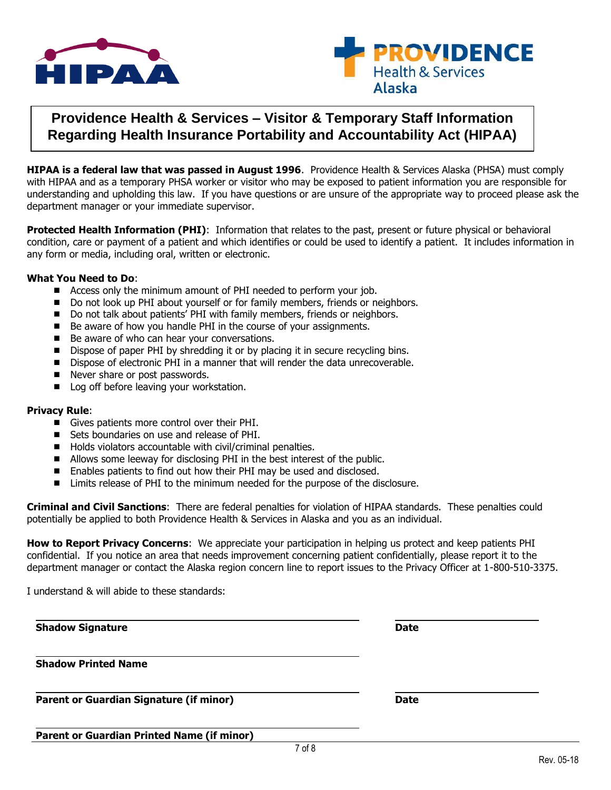



# **Providence Health & Services – Visitor & Temporary Staff Information Regarding Health Insurance Portability and Accountability Act (HIPAA)**

**HIPAA is a federal law that was passed in August 1996**. Providence Health & Services Alaska (PHSA) must comply with HIPAA and as a temporary PHSA worker or visitor who may be exposed to patient information you are responsible for understanding and upholding this law. If you have questions or are unsure of the appropriate way to proceed please ask the department manager or your immediate supervisor.

**Protected Health Information (PHI)**: Information that relates to the past, present or future physical or behavioral condition, care or payment of a patient and which identifies or could be used to identify a patient. It includes information in any form or media, including oral, written or electronic.

#### **What You Need to Do**:

- Access only the minimum amount of PHI needed to perform your job.
- Do not look up PHI about yourself or for family members, friends or neighbors.
- Do not talk about patients' PHI with family members, friends or neighbors.
- Be aware of how you handle PHI in the course of your assignments.
- Be aware of who can hear your conversations.
- Dispose of paper PHI by shredding it or by placing it in secure recycling bins.
- Dispose of electronic PHI in a manner that will render the data unrecoverable.
- Never share or post passwords.
- Log off before leaving your workstation.

#### **Privacy Rule**:

- Gives patients more control over their PHI.
- Sets boundaries on use and release of PHI.
- $\blacksquare$  Holds violators accountable with civil/criminal penalties.
- Allows some leeway for disclosing PHI in the best interest of the public.
- Enables patients to find out how their PHI may be used and disclosed.
- Limits release of PHI to the minimum needed for the purpose of the disclosure.

**Criminal and Civil Sanctions**: There are federal penalties for violation of HIPAA standards. These penalties could potentially be applied to both Providence Health & Services in Alaska and you as an individual.

**How to Report Privacy Concerns**: We appreciate your participation in helping us protect and keep patients PHI confidential. If you notice an area that needs improvement concerning patient confidentially, please report it to the department manager or contact the Alaska region concern line to report issues to the Privacy Officer at 1-800-510-3375.

I understand & will abide to these standards:

| <b>Shadow Signature</b>                           | <b>Date</b> |
|---------------------------------------------------|-------------|
| <b>Shadow Printed Name</b>                        |             |
| <b>Parent or Guardian Signature (if minor)</b>    | <b>Date</b> |
| <b>Parent or Guardian Printed Name (if minor)</b> |             |